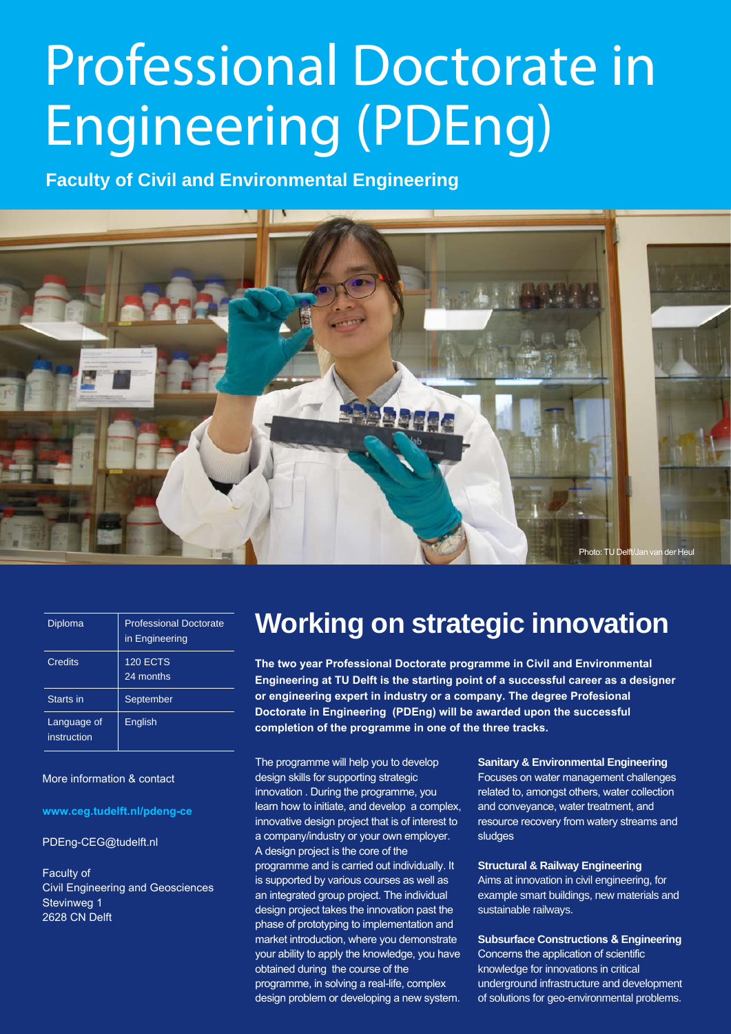# Professional Doctorate in Engineering (PDEng)

**Faculty of Civil and Environmental Engineering**



| Diploma                    | <b>Professional Doctorate</b><br>in Engineering |
|----------------------------|-------------------------------------------------|
| Credits                    | <b>120 ECTS</b><br>24 months                    |
| Starts in                  | September                                       |
| Language of<br>instruction | English                                         |

More information & contact

**www.ceg.tudelft.nl/pdeng-ce**

PDEng-CEG@tudelft.nl

Faculty of Civil Engineering and Geosciences Stevinweg 1 2628 CN Delft

### **Working on strategic innovation**

**The two year Professional Doctorate programme in Civil and Environmental Engineering at TU Delft is the starting point of a successful career as a designer or engineering expert in industry or a company. The degree Profesional Doctorate in Engineering (PDEng) will be awarded upon the successful completion of the programme in one of the three tracks.**

The programme will help you to develop design skills for supporting strategic innovation . During the programme, you learn how to initiate, and develop a complex, innovative design project that is of interest to a company/industry or your own employer. A design project is the core of the programme and is carried out individually. It is supported by various courses as well as an integrated group project. The individual design project takes the innovation past the phase of prototyping to implementation and market introduction, where you demonstrate your ability to apply the knowledge, you have obtained during the course of the programme, in solving a real-life, complex design problem or developing a new system. **Sanitary & Environmental Engineering**

Focuses on water management challenges related to, amongst others, water collection and conveyance, water treatment, and resource recovery from watery streams and sludges

**Structural & Railway Engineering**

Aims at innovation in civil engineering, for example smart buildings, new materials and sustainable railways.

**Subsurface Constructions & Engineering** Concerns the application of scientific knowledge for innovations in critical underground infrastructure and development of solutions for geo-environmental problems.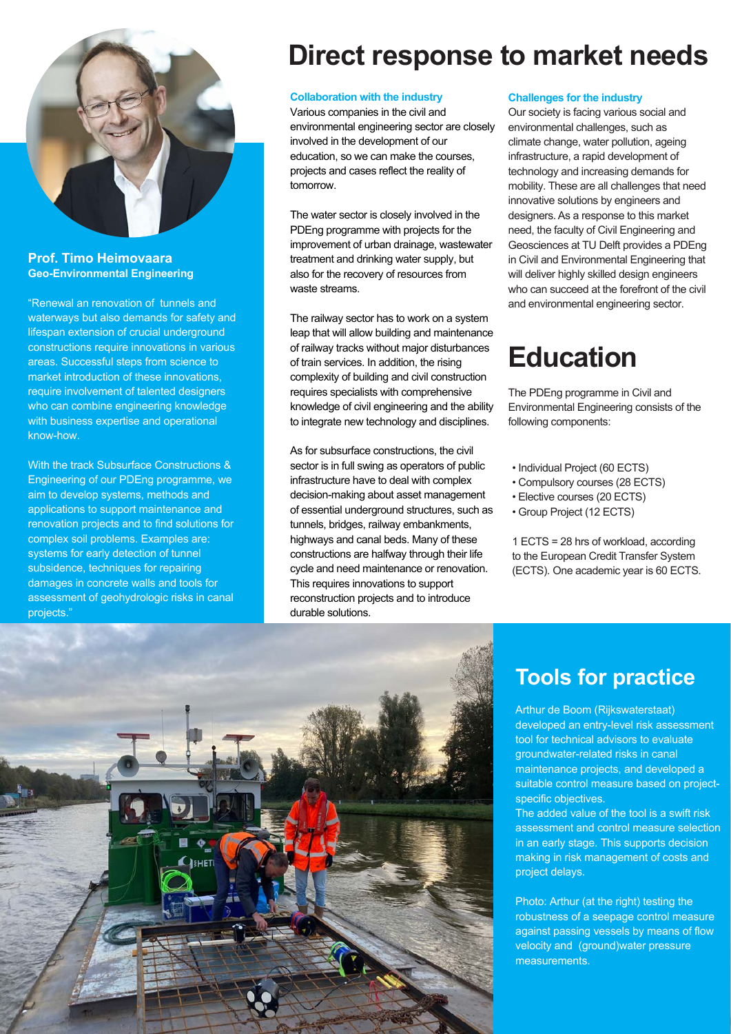

#### **Prof. Timo Heimovaara Geo-Environmental Engineering**

"Renewal an renovation of tunnels and waterways but also demands for safety and lifespan extension of crucial underground constructions require innovations in various areas. Successful steps from science to market introduction of these innovations, require involvement of talented designers who can combine engineering knowledge with business expertise and operational know-how.

With the track Subsurface Constructions & Engineering of our PDEng programme, we aim to develop systems, methods and applications to support maintenance and renovation projects and to find solutions for complex soil problems. Examples are: systems for early detection of tunnel subsidence, techniques for repairing damages in concrete walls and tools for assessment of geohydrologic risks in canal projects.'

### **Direct response to market needs**

#### **Collaboration with the industry**

Various companies in the civil and environmental engineering sector are closely involved in the development of our education, so we can make the courses, projects and cases reflect the reality of tomorrow.

The water sector is closely involved in the PDEng programme with projects for the improvement of urban drainage, wastewater treatment and drinking water supply, but also for the recovery of resources from waste streams.

The railway sector has to work on a system leap that will allow building and maintenance of railway tracks without major disturbances of train services. In addition, the rising complexity of building and civil construction requires specialists with comprehensive knowledge of civil engineering and the ability to integrate new technology and disciplines.

As for subsurface constructions, the civil sector is in full swing as operators of public infrastructure have to deal with complex decision-making about asset management of essential underground structures, such as tunnels, bridges, railway embankments, highways and canal beds. Many of these constructions are halfway through their life cycle and need maintenance or renovation. This requires innovations to support reconstruction projects and to introduce durable solutions.

#### **Challenges for the industry**

Our society is facing various social and environmental challenges, such as climate change, water pollution, ageing infrastructure, a rapid development of technology and increasing demands for mobility. These are all challenges that need innovative solutions by engineers and designers. As a response to this market need, the faculty of Civil Engineering and Geosciences at TU Delft provides a PDEng in Civil and Environmental Engineering that will deliver highly skilled design engineers who can succeed at the forefront of the civil and environmental engineering sector.

### **Education**

The PDEng programme in Civil and Environmental Engineering consists of the following components:

- Individual Project (60 ECTS)
- Compulsory courses (28 ECTS)
- Elective courses (20 ECTS)
- Group Project (12 ECTS)

1 ECTS = 28 hrs of workload, according to the European Credit Transfer System (ECTS). One academic year is 60 ECTS.



### **Tools for practice**

Arthur de Boom (Rijkswaterstaat) developed an entry-level risk assessment tool for technical advisors to evaluate groundwater-related risks in canal maintenance projects, and developed a suitable control measure based on projectspecific objectives.

The added value of the tool is a swift risk assessment and control measure selection in an early stage. This supports decision making in risk management of costs and project delays.

Photo: Arthur (at the right) testing the robustness of a seepage control measure against passing vessels by means of flow velocity and (ground)water pressure measurements.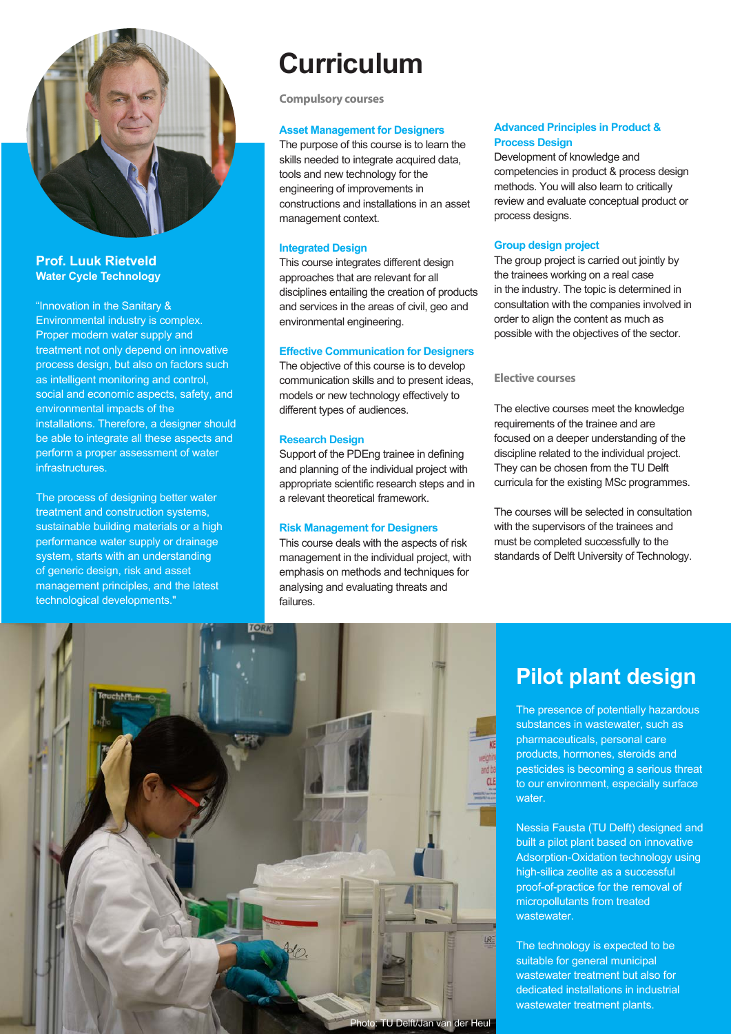

### **Prof. Luuk Rietveld Water Cycle Technology**

"Innovation in the Sanitary & Environmental industry is complex. Proper modern water supply and treatment not only depend on innovative process design, but also on factors such as intelligent monitoring and control, social and economic aspects, safety, and environmental impacts of the installations. Therefore, a designer should be able to integrate all these aspects and perform a proper assessment of water infrastructures.

The process of designing better water treatment and construction systems, sustainable building materials or a high performance water supply or drainage system, starts with an understanding of generic design, risk and asset management principles, and the latest technological developments."

**Compulsory courses**

#### **Asset Management for Designers**

The purpose of this course is to learn the skills needed to integrate acquired data, tools and new technology for the engineering of improvements in constructions and installations in an asset management context.

#### **Integrated Design**

This course integrates different design approaches that are relevant for all disciplines entailing the creation of products and services in the areas of civil, geo and environmental engineering.

#### **Effective Communication for Designers**

The objective of this course is to develop communication skills and to present ideas, models or new technology effectively to different types of audiences.

#### **Research Design**

Support of the PDEng trainee in defining and planning of the individual project with appropriate scientific research steps and in a relevant theoretical framework.

#### **Risk Management for Designers**

This course deals with the aspects of risk management in the individual project, with emphasis on methods and techniques for analysing and evaluating threats and failures.

#### **Advanced Principles in Product & Process Design**

Development of knowledge and competencies in product & process design methods. You will also learn to critically review and evaluate conceptual product or process designs.

#### **Group design project**

The group project is carried out jointly by the trainees working on a real case in the industry. The topic is determined in consultation with the companies involved in order to align the content as much as possible with the objectives of the sector.

#### **Elective courses**

The elective courses meet the knowledge requirements of the trainee and are focused on a deeper understanding of the discipline related to the individual project. They can be chosen from the TU Delft curricula for the existing MSc programmes.

The courses will be selected in consultation with the supervisors of the trainees and must be completed successfully to the standards of Delft University of Technology.



#### Photo: TU Delft/Jan van der Heul

### **Pilot plant design**

The presence of potentially hazardous substances in wastewater, such as pharmaceuticals, personal care products, hormones, steroids and pesticides is becoming a serious threat to our environment, especially surface water.

Nessia Fausta (TU Delft) designed and built a pilot plant based on innovative Adsorption-Oxidation technology using high-silica zeolite as a successful proof-of-practice for the removal of micropollutants from treated wastewater.

The technology is expected to be suitable for general municipal wastewater treatment but also for dedicated installations in industrial wastewater treatment plants.